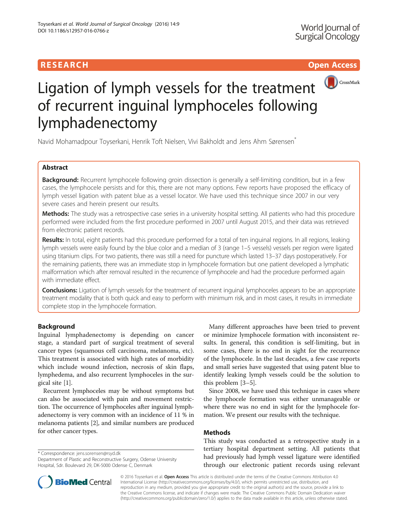# RESEARCH **RESEARCH CHOOSE ACCESS**



# Ligation of lymph vessels for the treatment of recurrent inguinal lymphoceles following lymphadenectomy

Navid Mohamadpour Toyserkani, Henrik Toft Nielsen, Vivi Bakholdt and Jens Ahm Sørensen<sup>\*</sup>

# Abstract

Background: Recurrent lymphocele following groin dissection is generally a self-limiting condition, but in a few cases, the lymphocele persists and for this, there are not many options. Few reports have proposed the efficacy of lymph vessel ligation with patent blue as a vessel locator. We have used this technique since 2007 in our very severe cases and herein present our results.

Methods: The study was a retrospective case series in a university hospital setting. All patients who had this procedure performed were included from the first procedure performed in 2007 until August 2015, and their data was retrieved from electronic patient records.

Results: In total, eight patients had this procedure performed for a total of ten inguinal regions. In all regions, leaking lymph vessels were easily found by the blue color and a median of 3 (range 1–5 vessels) vessels per region were ligated using titanium clips. For two patients, there was still a need for puncture which lasted 13–37 days postoperatively. For the remaining patients, there was an immediate stop in lymphocele formation but one patient developed a lymphatic malformation which after removal resulted in the recurrence of lymphocele and had the procedure performed again with immediate effect.

Conclusions: Ligation of lymph vessels for the treatment of recurrent inguinal lymphoceles appears to be an appropriate treatment modality that is both quick and easy to perform with minimum risk, and in most cases, it results in immediate complete stop in the lymphocele formation.

# Background

Inguinal lymphadenectomy is depending on cancer stage, a standard part of surgical treatment of several cancer types (squamous cell carcinoma, melanoma, etc). This treatment is associated with high rates of morbidity which include wound infection, necrosis of skin flaps, lymphedema, and also recurrent lymphoceles in the surgical site [\[1](#page-2-0)].

Recurrent lymphoceles may be without symptoms but can also be associated with pain and movement restriction. The occurrence of lymphoceles after inguinal lymphadenectomy is very common with an incidence of 11 % in melanoma patients [\[2\]](#page-2-0), and similar numbers are produced for other cancer types.

\* Correspondence: [jens.sorensen@rsyd.dk](mailto:jens.sorensen@rsyd.dk)

Many different approaches have been tried to prevent or minimize lymphocele formation with inconsistent results. In general, this condition is self-limiting, but in some cases, there is no end in sight for the recurrence of the lymphocele. In the last decades, a few case reports and small series have suggested that using patent blue to identify leaking lymph vessels could be the solution to this problem [[3](#page-3-0)–[5\]](#page-3-0).

Since 2008, we have used this technique in cases where the lymphocele formation was either unmanageable or where there was no end in sight for the lymphocele formation. We present our results with the technique.

# Methods

This study was conducted as a retrospective study in a tertiary hospital department setting. All patients that had previously had lymph vessel ligature were identified through our electronic patient records using relevant



© 2016 Toyserkani et al. Open Access This article is distributed under the terms of the Creative Commons Attribution 4.0 International License [\(http://creativecommons.org/licenses/by/4.0/](http://creativecommons.org/licenses/by/4.0/)), which permits unrestricted use, distribution, and reproduction in any medium, provided you give appropriate credit to the original author(s) and the source, provide a link to the Creative Commons license, and indicate if changes were made. The Creative Commons Public Domain Dedication waiver [\(http://creativecommons.org/publicdomain/zero/1.0/](http://creativecommons.org/publicdomain/zero/1.0/)) applies to the data made available in this article, unless otherwise stated.

Department of Plastic and Reconstructive Surgery, Odense University Hospital, Sdr. Boulevard 29, DK-5000 Odense C, Denmark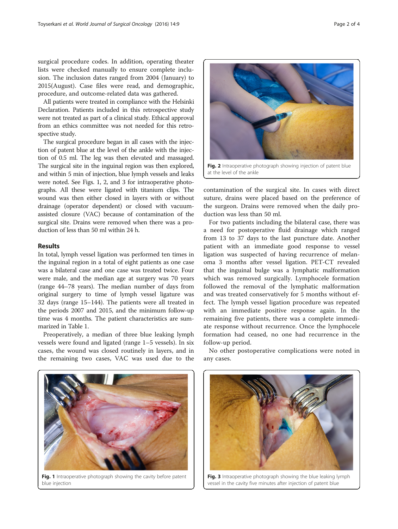surgical procedure codes. In addition, operating theater lists were checked manually to ensure complete inclusion. The inclusion dates ranged from 2004 (January) to 2015(August). Case files were read, and demographic, procedure, and outcome-related data was gathered.

All patients were treated in compliance with the Helsinki Declaration. Patients included in this retrospective study were not treated as part of a clinical study. Ethical approval from an ethics committee was not needed for this retrospective study.

The surgical procedure began in all cases with the injection of patent blue at the level of the ankle with the injection of 0.5 ml. The leg was then elevated and massaged. The surgical site in the inguinal region was then explored, and within 5 min of injection, blue lymph vessels and leaks were noted. See Figs. 1, 2, and 3 for intraoperative photographs. All these were ligated with titanium clips. The wound was then either closed in layers with or without drainage (operator dependent) or closed with vacuumassisted closure (VAC) because of contamination of the surgical site. Drains were removed when there was a production of less than 50 ml within 24 h.

### Results

In total, lymph vessel ligation was performed ten times in the inguinal region in a total of eight patients as one case was a bilateral case and one case was treated twice. Four were male, and the median age at surgery was 70 years (range 44–78 years). The median number of days from original surgery to time of lymph vessel ligature was 32 days (range 15–144). The patients were all treated in the periods 2007 and 2015, and the minimum follow-up time was 4 months. The patient characteristics are summarized in Table [1](#page-2-0).

Preoperatively, a median of three blue leaking lymph vessels were found and ligated (range 1–5 vessels). In six cases, the wound was closed routinely in layers, and in the remaining two cases, VAC was used due to the



contamination of the surgical site. In cases with direct suture, drains were placed based on the preference of the surgeon. Drains were removed when the daily production was less than 50 ml.

For two patients including the bilateral case, there was a need for postoperative fluid drainage which ranged from 13 to 37 days to the last puncture date. Another patient with an immediate good response to vessel ligation was suspected of having recurrence of melanoma 3 months after vessel ligation. PET-CT revealed that the inguinal bulge was a lymphatic malformation which was removed surgically. Lymphocele formation followed the removal of the lymphatic malformation and was treated conservatively for 5 months without effect. The lymph vessel ligation procedure was repeated with an immediate positive response again. In the remaining five patients, there was a complete immediate response without recurrence. Once the lymphocele formation had ceased, no one had recurrence in the follow-up period.

No other postoperative complications were noted in any cases.



Fig. 1 Intraoperative photograph showing the cavity before patent blue injection



Fig. 3 Intraoperative photograph showing the blue leaking lymph vessel in the cavity five minutes after injection of patent blue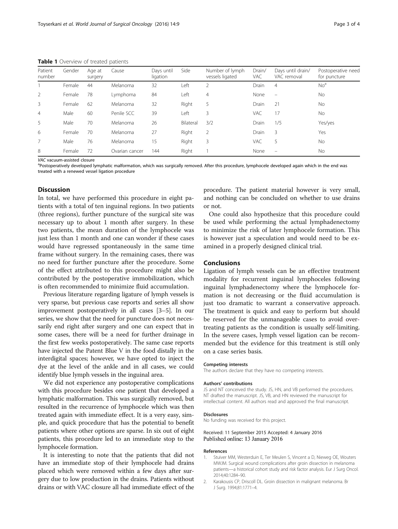<span id="page-2-0"></span>Table 1 Overview of treated patients

| Patient<br>number | Gender | Age at<br>surgery | Cause          | Davs until<br>ligation | Side      | Number of lymph<br>vessels ligated | Drain/<br>VAC | Days until drain/<br>VAC removal | Postoperative need<br>for puncture |
|-------------------|--------|-------------------|----------------|------------------------|-----------|------------------------------------|---------------|----------------------------------|------------------------------------|
|                   | Female | 44                | Melanoma       | 32                     | Left      | 2                                  | Drain         | $\overline{4}$                   | No <sup>a</sup>                    |
| 2                 | Female | 78                | Lymphoma       | 84                     | ∟eft      | 4                                  | None          | $\overline{\phantom{0}}$         | No                                 |
| 3                 | Female | 62                | Melanoma       | 32                     | Right     | 5                                  | Drain         | 21                               | No                                 |
| $\overline{4}$    | Male   | 60                | Penile SCC     | 39                     | Left      | 3                                  | VAC           | 17                               | No                                 |
| 5                 | Male   | 70                | Melanoma       | 26                     | Bilateral | 3/2                                | Drain         | 1/5                              | Yes/yes                            |
| 6                 | Female | 70                | Melanoma       | 27                     | Right     | 2                                  | <b>Drain</b>  | 3                                | Yes                                |
|                   | Male   | 76                | Melanoma       | 15                     | Right     | 3                                  | VAC           | 5                                | No.                                |
| 8                 | Female | 72                | Ovarian cancer | 144                    | Right     |                                    | None          |                                  | No                                 |

VAC vacuum-assisted closure

<sup>a</sup>Postoperatively developed lymphatic malformation, which was surgically removed. After this procedure, lymphocele developed again which in the end was treated with a renewed vessel ligation procedure

### Discussion

In total, we have performed this procedure in eight patients with a total of ten inguinal regions. In two patients (three regions), further puncture of the surgical site was necessary up to about 1 month after surgery. In these two patients, the mean duration of the lymphocele was just less than 1 month and one can wonder if these cases would have regressed spontaneously in the same time frame without surgery. In the remaining cases, there was no need for further puncture after the procedure. Some of the effect attributed to this procedure might also be contributed by the postoperative immobilization, which is often recommended to minimize fluid accumulation.

Previous literature regarding ligature of lymph vessels is very sparse, but previous case reports and series all show improvement postoperatively in all cases [\[3](#page-3-0)–[5\]](#page-3-0). In our series, we show that the need for puncture does not necessarily end right after surgery and one can expect that in some cases, there will be a need for further drainage in the first few weeks postoperatively. The same case reports have injected the Patent Blue V in the food distally in the interdigital spaces; however, we have opted to inject the dye at the level of the ankle and in all cases, we could identify blue lymph vessels in the inguinal area.

We did not experience any postoperative complications with this procedure besides one patient that developed a lymphatic malformation. This was surgically removed, but resulted in the recurrence of lymphocele which was then treated again with immediate effect. It is a very easy, simple, and quick procedure that has the potential to benefit patients where other options are sparse. In six out of eight patients, this procedure led to an immediate stop to the lymphocele formation.

It is interesting to note that the patients that did not have an immediate stop of their lymphocele had drains placed which were removed within a few days after surgery due to low production in the drains. Patients without drains or with VAC closure all had immediate effect of the

procedure. The patient material however is very small, and nothing can be concluded on whether to use drains or not.

One could also hypothesize that this procedure could be used while performing the actual lymphadenectomy to minimize the risk of later lymphocele formation. This is however just a speculation and would need to be examined in a properly designed clinical trial.

#### Conclusions

Ligation of lymph vessels can be an effective treatment modality for recurrent inguinal lymphoceles following inguinal lymphadenectomy where the lymphocele formation is not decreasing or the fluid accumulation is just too dramatic to warrant a conservative approach. The treatment is quick and easy to perform but should be reserved for the unmanageable cases to avoid overtreating patients as the condition is usually self-limiting. In the severe cases, lymph vessel ligation can be recommended but the evidence for this treatment is still only on a case series basis.

#### Competing interests

The authors declare that they have no competing interests.

#### Authors' contributions

JS and NT conceived the study. JS, HN, and VB performed the procedures. NT drafted the manuscript. JS, VB, and HN reviewed the manuscript for intellectual content. All authors read and approved the final manuscript.

#### Disclosures

No funding was received for this project.

#### Received: 11 September 2015 Accepted: 4 January 2016 Published online: 13 January 2016

#### References

- 1. Stuiver MM, Westerduin E, Ter Meulen S, Vincent a D, Nieweg OE, Wouters MWJM. Surgical wound complications after groin dissection in melanoma patients—a historical cohort study and risk factor analysis. Eur J Surg Oncol. 2014;40:1284–90.
- 2. Karakousis CP, Driscoll DL. Groin dissection in malignant melanoma. Br J Surg. 1994;81:1771–4.